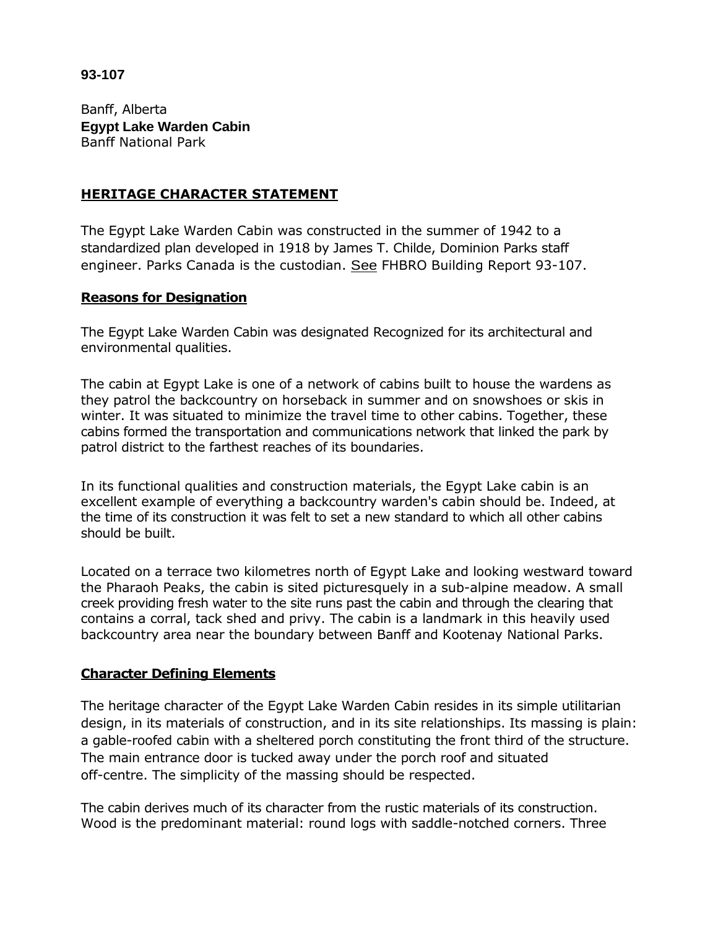## **93-107**

Banff, Alberta **Egypt Lake Warden Cabin**  Banff National Park

## **HERITAGE CHARACTER STATEMENT**

The Egypt Lake Warden Cabin was constructed in the summer of 1942 to a standardized plan developed in 1918 by James T. Childe, Dominion Parks staff engineer. Parks Canada is the custodian. See FHBRO Building Report 93-107.

#### **Reasons for Designation**

The Egypt Lake Warden Cabin was designated Recognized for its architectural and environmental qualities.

The cabin at Egypt Lake is one of a network of cabins built to house the wardens as they patrol the backcountry on horseback in summer and on snowshoes or skis in winter. It was situated to minimize the travel time to other cabins. Together, these cabins formed the transportation and communications network that linked the park by patrol district to the farthest reaches of its boundaries.

In its functional qualities and construction materials, the Egypt Lake cabin is an excellent example of everything a backcountry warden's cabin should be. Indeed, at the time of its construction it was felt to set a new standard to which all other cabins should be built.

Located on a terrace two kilometres north of Egypt Lake and looking westward toward the Pharaoh Peaks, the cabin is sited picturesquely in a sub-alpine meadow. A small creek providing fresh water to the site runs past the cabin and through the clearing that contains a corral, tack shed and privy. The cabin is a landmark in this heavily used backcountry area near the boundary between Banff and Kootenay National Parks.

# **Character Defining Elements**

The heritage character of the Egypt Lake Warden Cabin resides in its simple utilitarian design, in its materials of construction, and in its site relationships. Its massing is plain: a gable-roofed cabin with a sheltered porch constituting the front third of the structure. The main entrance door is tucked away under the porch roof and situated off-centre. The simplicity of the massing should be respected.

The cabin derives much of its character from the rustic materials of its construction. Wood is the predominant material: round logs with saddle-notched corners. Three